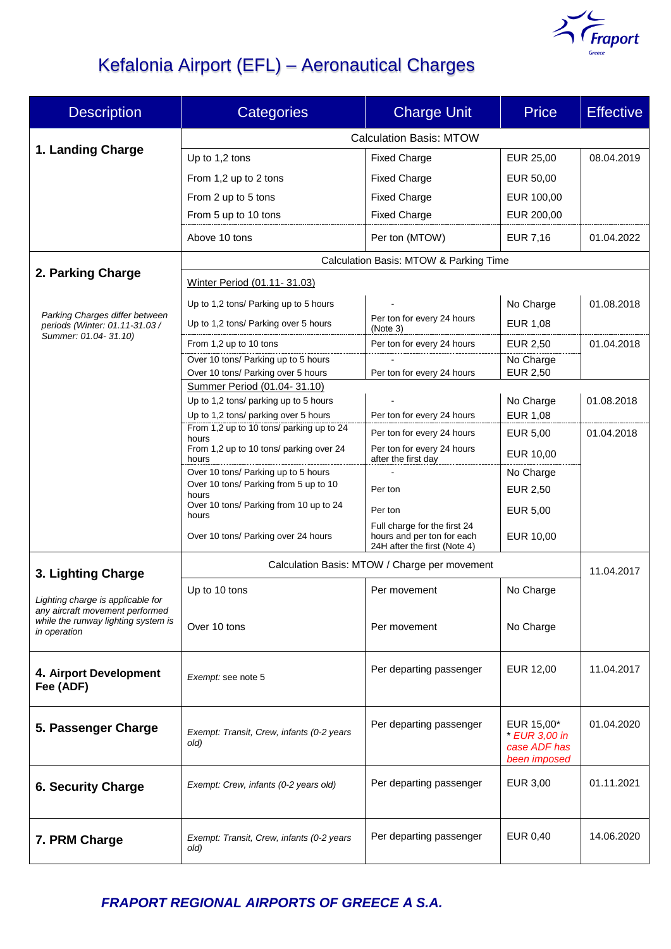

# Kefalonia Airport (EFL) – Aeronautical Charges

| <b>Description</b>                                                                                                                                | <b>Categories</b>                                                 | <b>Charge Unit</b>                                                                         | <b>Price</b>                                                | <b>Effective</b> |  |
|---------------------------------------------------------------------------------------------------------------------------------------------------|-------------------------------------------------------------------|--------------------------------------------------------------------------------------------|-------------------------------------------------------------|------------------|--|
|                                                                                                                                                   | <b>Calculation Basis: MTOW</b>                                    |                                                                                            |                                                             |                  |  |
| 1. Landing Charge                                                                                                                                 | Up to 1,2 tons                                                    | <b>Fixed Charge</b>                                                                        | EUR 25,00                                                   | 08.04.2019       |  |
|                                                                                                                                                   | From 1,2 up to 2 tons                                             | <b>Fixed Charge</b>                                                                        | EUR 50,00                                                   |                  |  |
|                                                                                                                                                   | From 2 up to 5 tons                                               | <b>Fixed Charge</b>                                                                        | EUR 100,00                                                  |                  |  |
|                                                                                                                                                   | From 5 up to 10 tons                                              | <b>Fixed Charge</b>                                                                        | EUR 200,00                                                  |                  |  |
|                                                                                                                                                   | Above 10 tons                                                     | Per ton (MTOW)                                                                             | <b>EUR 7,16</b>                                             | 01.04.2022       |  |
| 2. Parking Charge                                                                                                                                 | Calculation Basis: MTOW & Parking Time                            |                                                                                            |                                                             |                  |  |
|                                                                                                                                                   | Winter Period (01.11-31.03)                                       |                                                                                            |                                                             |                  |  |
| Parking Charges differ between<br>periods (Winter: 01.11-31.03 /                                                                                  | Up to 1,2 tons/ Parking up to 5 hours                             |                                                                                            | No Charge                                                   | 01.08.2018       |  |
|                                                                                                                                                   | Up to 1,2 tons/ Parking over 5 hours                              | Per ton for every 24 hours<br>(Note 3)                                                     | <b>EUR 1,08</b>                                             |                  |  |
| Summer: 01.04-31.10)                                                                                                                              | From 1,2 up to 10 tons                                            | Per ton for every 24 hours                                                                 | EUR 2,50                                                    | 01.04.2018       |  |
|                                                                                                                                                   | Over 10 tons/ Parking up to 5 hours                               |                                                                                            | No Charge                                                   |                  |  |
|                                                                                                                                                   | Over 10 tons/ Parking over 5 hours<br>Summer Period (01.04-31.10) | Per ton for every 24 hours                                                                 | <b>EUR 2,50</b>                                             |                  |  |
|                                                                                                                                                   | Up to 1,2 tons/ parking up to 5 hours                             |                                                                                            | No Charge                                                   | 01.08.2018       |  |
|                                                                                                                                                   | Up to 1,2 tons/ parking over 5 hours                              | Per ton for every 24 hours                                                                 | <b>EUR 1,08</b>                                             |                  |  |
|                                                                                                                                                   | From 1,2 up to 10 tons/ parking up to 24<br>hours                 | Per ton for every 24 hours                                                                 | <b>EUR 5,00</b>                                             | 01.04.2018       |  |
|                                                                                                                                                   | From 1,2 up to 10 tons/ parking over 24<br>hours                  | Per ton for every 24 hours<br>after the first day                                          | EUR 10,00                                                   |                  |  |
|                                                                                                                                                   | Over 10 tons/ Parking up to 5 hours                               |                                                                                            | No Charge                                                   |                  |  |
|                                                                                                                                                   | Over 10 tons/ Parking from 5 up to 10<br>hours                    | Per ton                                                                                    | EUR 2,50                                                    |                  |  |
|                                                                                                                                                   | Over 10 tons/ Parking from 10 up to 24<br>hours                   | Per ton                                                                                    | EUR 5,00                                                    |                  |  |
|                                                                                                                                                   | Over 10 tons/ Parking over 24 hours                               | Full charge for the first 24<br>hours and per ton for each<br>24H after the first (Note 4) | EUR 10,00                                                   |                  |  |
|                                                                                                                                                   | Calculation Basis: MTOW / Charge per movement                     |                                                                                            |                                                             | 11.04.2017       |  |
| 3. Lighting Charge<br>Lighting charge is applicable for<br>any aircraft movement performed<br>while the runway lighting system is<br>in operation | Up to 10 tons                                                     | Per movement                                                                               | No Charge                                                   |                  |  |
|                                                                                                                                                   | Over 10 tons                                                      | Per movement                                                                               | No Charge                                                   |                  |  |
| 4. Airport Development<br>Fee (ADF)                                                                                                               | Exempt: see note 5                                                | Per departing passenger                                                                    | EUR 12,00                                                   | 11.04.2017       |  |
| 5. Passenger Charge                                                                                                                               | Exempt: Transit, Crew, infants (0-2 years<br>old)                 | Per departing passenger                                                                    | EUR 15,00*<br>* EUR 3,00 in<br>case ADF has<br>been imposed | 01.04.2020       |  |
| <b>6. Security Charge</b>                                                                                                                         | Exempt: Crew, infants (0-2 years old)                             | Per departing passenger                                                                    | EUR 3,00                                                    | 01.11.2021       |  |
| 7. PRM Charge                                                                                                                                     | Exempt: Transit, Crew, infants (0-2 years<br>old)                 | Per departing passenger                                                                    | EUR 0,40                                                    | 14.06.2020       |  |

*FRAPORT REGIONAL AIRPORTS OF GREECE Α S.A.*